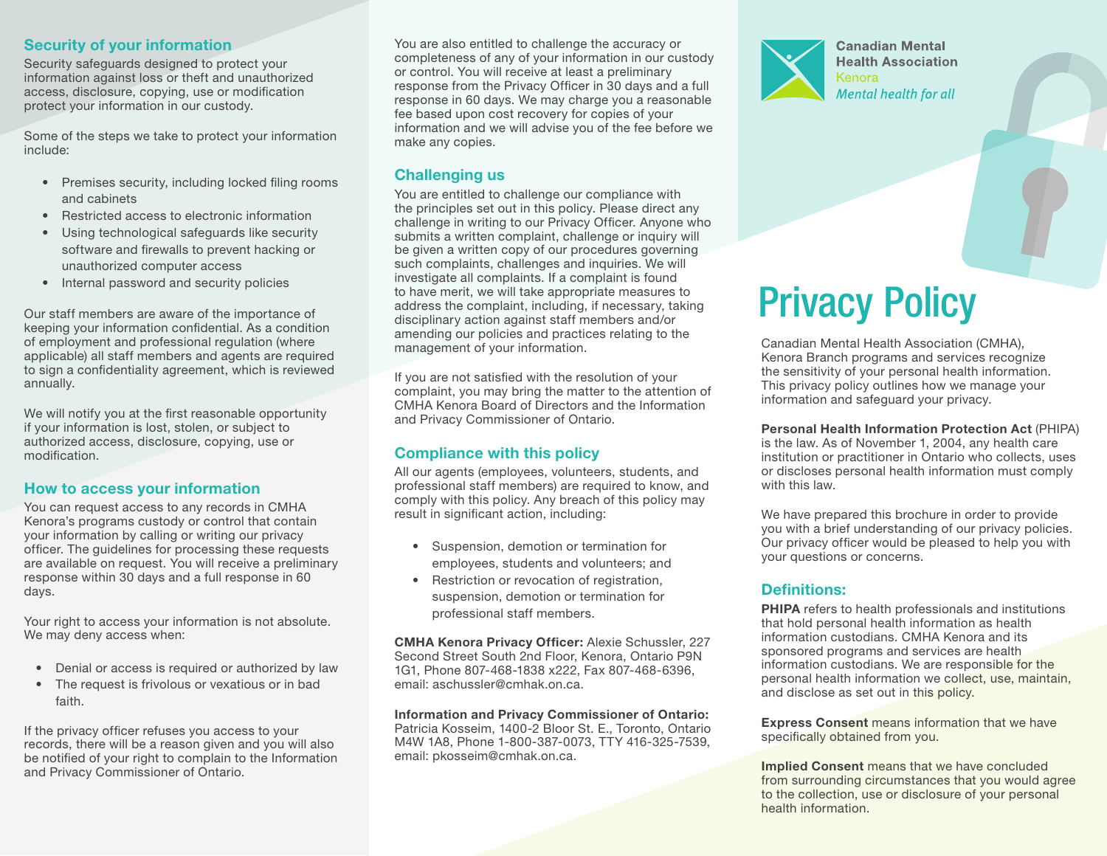#### Security of your information

Security safeguards designed to protect your information against loss or theft and unauthorized access, disclosure, copying, use or modification protect your information in our custody.

Some of the steps we take to protect your information include:

- Premises security, including locked filing rooms and cabinets
- Restricted access to electronic information
- Using technological safeguards like security software and firewalls to prevent hacking or unauthorized computer access
- Internal password and security policies

Our staff members are aware of the importance of keeping your information confidential. As a condition of employment and professional regulation (where applicable) all staff members and agents are required to sign a confidentiality agreement, which is reviewed annually.

We will notify you at the first reasonable opportunity if your information is lost, stolen, or subject to authorized access, disclosure, copying, use or modification.

#### How to access your information

You can request access to any records in CMHA Kenora's programs custody or control that contain your information by calling or writing our privacy officer. The guidelines for processing these requests are available on request. You will receive a preliminary response within 30 days and a full response in 60 days.

Your right to access your information is not absolute. We may deny access when:

- Denial or access is required or authorized by law
- The request is frivolous or vexatious or in bad faith.

If the privacy officer refuses you access to your records, there will be a reason given and you will also be notified of your right to complain to the Information and Privacy Commissioner of Ontario.

You are also entitled to challenge the accuracy or completeness of any of your information in our custody or control. You will receive at least a preliminary response from the Privacy Officer in 30 days and a full response in 60 days. We may charge you a reasonable fee based upon cost recovery for copies of your information and we will advise you of the fee before we make any copies.

## Challenging us

You are entitled to challenge our compliance with the principles set out in this policy. Please direct any challenge in writing to our Privacy Officer. Anyone who submits a written complaint, challenge or inquiry will be given a written copy of our procedures governing such complaints, challenges and inquiries. We will investigate all complaints. If a complaint is found to have merit, we will take appropriate measures to address the complaint, including, if necessary, taking disciplinary action against staff members and/or amending our policies and practices relating to the management of your information.

If you are not satisfied with the resolution of your complaint, you may bring the matter to the attention of CMHA Kenora Board of Directors and the Information and Privacy Commissioner of Ontario.

# Compliance with this policy

All our agents (employees, volunteers, students, and professional staff members) are required to know, and comply with this policy. Any breach of this policy may result in significant action, including:

- Suspension, demotion or termination for employees, students and volunteers; and
- Restriction or revocation of registration, suspension, demotion or termination for professional staff members.

CMHA Kenora Privacy Officer: Alexie Schussler, 227 Second Street South 2nd Floor, Kenora, Ontario P9N 1G1, Phone 807-468-1838 x222, Fax 807-468-6396, email: aschussler@cmhak.on.ca.

Information and Privacy Commissioner of Ontario: Patricia Kosseim, 1400-2 Bloor St. E., Toronto, Ontario M4W 1A8, Phone 1-800-387-0073, TTY 416-325-7539, email: pkosseim@cmhak.on.ca.



**Canadian Mental Health Association** Kenora Mental health for all

# Privacy Policy

Canadian Mental Health Association (CMHA), Kenora Branch programs and services recognize the sensitivity of your personal health information. This privacy policy outlines how we manage your information and safeguard your privacy.

Personal Health Information Protection Act (PHIPA) is the law. As of November 1, 2004, any health care institution or practitioner in Ontario who collects, uses or discloses personal health information must comply with this law.

We have prepared this brochure in order to provide you with a brief understanding of our privacy policies. Our privacy officer would be pleased to help you with your questions or concerns.

# Definitions:

PHIPA refers to health professionals and institutions that hold personal health information as health information custodians. CMHA Kenora and its sponsored programs and services are health information custodians. We are responsible for the personal health information we collect, use, maintain, and disclose as set out in this policy.

Express Consent means information that we have specifically obtained from you.

Implied Consent means that we have concluded from surrounding circumstances that you would agree to the collection, use or disclosure of your personal health information.